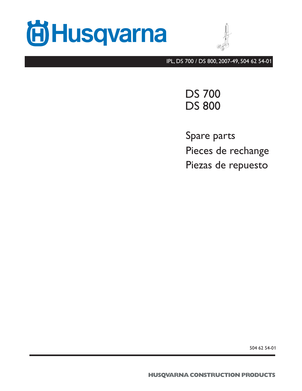



IPL, DS 700 / DS 800, 2007-49, 504 62 54-01

DS 700 DS 800

Spare parts Pieces de rechange Piezas de repuesto

504 62 54-01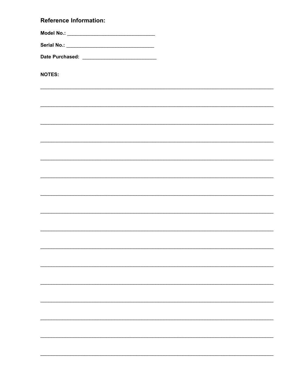## **Reference Information:**

**NOTES:**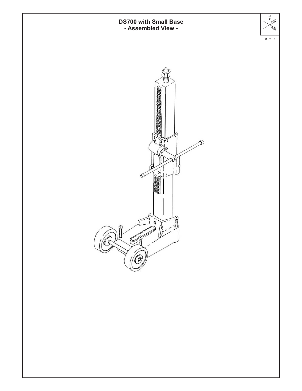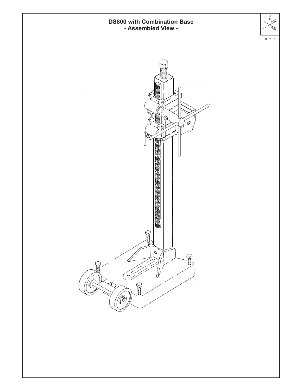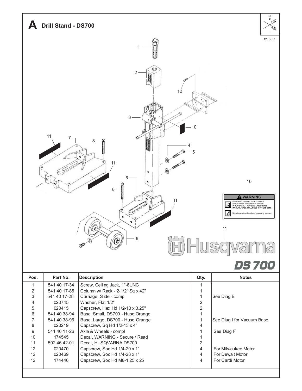

|                 | 541 40 38-96 | Base, Large, DS700 - Husq Orange |   | See Diag I for Vacuun   |
|-----------------|--------------|----------------------------------|---|-------------------------|
| 8               | 020219       | Capscrew, Sq Hd 1/2-13 x 4"      | 4 |                         |
| 9               | 541 40 11-26 | Axle & Wheels - compl            |   | See Diag F              |
| 10 <sup>1</sup> | 174545       | Decal, WARNING - Secure / Read   |   |                         |
| 11              | 502 46 42-01 | Decal, HUSQVARNA DS700           | 2 |                         |
| 12 <sup>°</sup> | 020470       | Capscrew, Soc Hd 1/4-20 x 1"     | 4 | For Milwaukee Motor     |
| 12 <sup>°</sup> | 020469       | Capscrew, Soc Hd 1/4-28 x 1"     | 4 | <b>For Dewalt Motor</b> |
| 12 <sup>°</sup> | 174446       | Capscrew, Soc Hd M8-1.25 x 25    | 4 | For Cardi Motor         |
|                 |              |                                  |   |                         |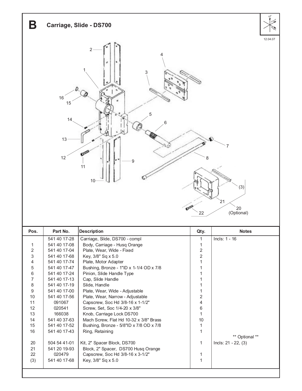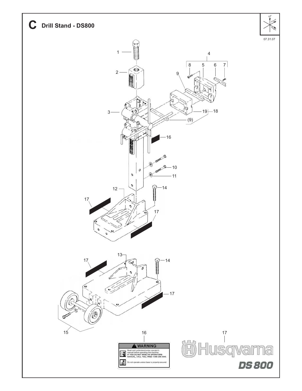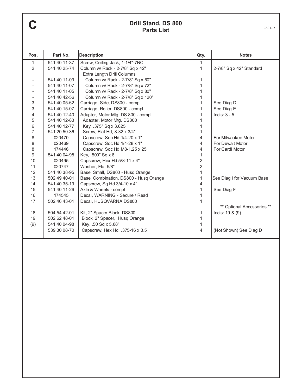## **C** Drill Stand, DS 800<br>Parts List **Parts List**

| Pos.                         | Part No.     | <b>Description</b>                     | Qty.           | <b>Notes</b>               |
|------------------------------|--------------|----------------------------------------|----------------|----------------------------|
| 1                            | 541 40 11-37 | Screw, Ceiling Jack, 1-1/4"-7NC        | $\mathbf{1}$   |                            |
| $\overline{2}$               | 541 40 25-74 | Column w/ Rack - 2-7/8" Sq x 42"       | 1              | 2-7/8" Sq x 42" Standard   |
|                              |              | Extra Length Drill Columns             |                |                            |
| $\qquad \qquad \blacksquare$ | 541 40 11-09 | Column w/ Rack - 2-7/8" Sq x 60"       | 1              |                            |
|                              | 541 40 11-07 | Column w/ Rack - 2-7/8" Sq x 72"       | 1              |                            |
|                              | 541 40 11-05 | Column w/ Rack - 2-7/8" Sq x 80"       | 1              |                            |
|                              | 541 40 42-56 | Column w/ Rack - 2-7/8" Sq x 120"      | 1              |                            |
| 3                            | 541 40 05-62 | Carriage, Side, DS800 - compl          | 1              | See Diag D                 |
| 3                            | 541 40 15-07 | Carriage, Roller, DS800 - compl        | 1              | See Diag E                 |
| 4                            | 541 40 12-40 | Adapter, Motor Mtg, DS 800 - compl     | 1              | Incls: $3 - 5$             |
| 5                            | 541 40 12-83 | Adapter, Motor Mtg, DS800              | 1              |                            |
| 6                            | 541 40 12-77 | Key, .375" Sq x 3.625                  | 1              |                            |
| $\overline{7}$               | 541 20 50-36 | Screw, Flat Hd, 8-32 x 3/4"            | 1              |                            |
| 8                            | 020470       | Capscrew, Soc Hd 1/4-20 x 1"           | 4              | For Milwaukee Motor        |
| 8                            | 020469       | Capscrew, Soc Hd 1/4-28 x 1"           | 4              | For Dewalt Motor           |
| 8                            | 174446       | Capscrew, Soc Hd M8-1.25 x 25          | 4              | For Cardi Motor            |
| $\boldsymbol{9}$             | 541 40 04-98 | Key, .500" Sq x 6                      | $\mathbf{1}$   |                            |
| 10                           | 020495       | Capscrew, Hex Hd 5/8-11 x 4"           | $\overline{c}$ |                            |
| 11                           | 020747       | Washer, Flat 5/8"                      | $\overline{c}$ |                            |
|                              | 541 40 38-95 |                                        |                |                            |
| 12                           |              | Base, Small, DS800 - Husq Orange       | $\mathbf{1}$   |                            |
| 13                           | 502 49 40-01 | Base, Combination, DS800 - Husq Orange | 1              | See Diag I for Vacuum Base |
| 14                           | 541 40 35-19 | Capscrew, Sq Hd 3/4-10 x 4"            | 4              |                            |
| 15                           | 541 40 11-26 | Axle & Wheels - compl                  | 1              | See Diag F                 |
| 16                           | 174545       | Decal, WARNING - Secure / Read         | 1              |                            |
| 17                           | 502 46 43-01 | Decal, HUSQVARNA DS800                 | 1              |                            |
|                              |              |                                        |                | ** Optional Accessories ** |
| 18<br>19                     | 504 54 42-01 | Kit, 2" Spacer Block, DS800            | 1<br>1         | Incls: $19 & (9)$          |
|                              | 502 62 48-01 | Block, 2" Spacer, Husq Orange          |                |                            |
| (9)                          | 541 40 04-98 | Key, .50 Sq x 5.88"                    | 1              |                            |
|                              | 539 30 08-70 | Capscrew, Hex Hd, .375-16 x 3.5        | 4              | (Not Shown) See Diag D     |
|                              |              |                                        |                |                            |
|                              |              |                                        |                |                            |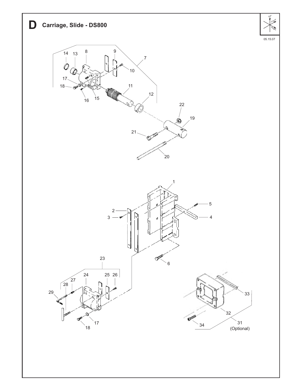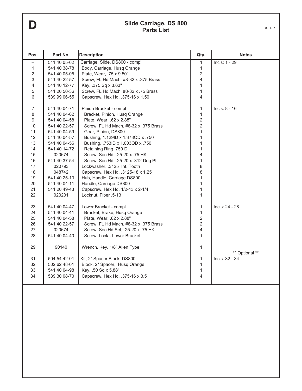## **D Slide Carriage, DS 800**<br>**Parts List D 08.01.07 Parts List**

| 541 40 05-62<br>Carriage, Slide, DS800 - compl<br>Body, Carriage, Husq Orange<br>541 40 38-78<br>Plate, Wear, .75 x 9.50"<br>541 40 05-05<br>541 40 22-57<br>Screw, FL Hd Mach, #8-32 x .375 Brass<br>541 40 12-77<br>Key, .375 Sq x 3.63"<br>Screw, FL Hd Mach, #8-32 x .75 Brass<br>541 20 50-36<br>539 99 06-55<br>Capscrew, Hex Hd, .375-16 x 1.50<br>541 40 04-71<br>Pinion Bracket - compl<br>541 40 04-62<br>Bracket, Pinion, Husq Orange<br>541 40 04-58<br>Plate, Wear, .62 x 2.88"<br>541 40 22-57<br>Screw, FL Hd Mach, #8-32 x .375 Brass<br>Gear, Pinion, DS800<br>541 40 04-59<br>541 40 04-57<br>Bushing, 1.129ID x 1.378OD x .750<br>Bushing, .753ID x 1.003OD x .750<br>541 40 04-56<br>541 40 14-72<br>Retaining Ring .750 D<br>020674<br>Screw, Soc Hd, .25-20 x .75 HK<br>541 40 37-54<br>Screw, Soc Hd, .25-20 x .312 Dog Pt<br>020793<br>Lockwasher, .3125 Int. Tooth | 1<br>1<br>$\overline{c}$<br>$\overline{4}$<br>$\mathbf{1}$<br>$\mathbf{1}$<br>$\overline{\mathbf{4}}$<br>1<br>1<br>$\overline{2}$<br>$\overline{2}$<br>$\mathbf{1}$<br>1<br>1<br>1<br>4 | Incls: 1 - 29<br>$Incls: 8 - 16$ |
|---------------------------------------------------------------------------------------------------------------------------------------------------------------------------------------------------------------------------------------------------------------------------------------------------------------------------------------------------------------------------------------------------------------------------------------------------------------------------------------------------------------------------------------------------------------------------------------------------------------------------------------------------------------------------------------------------------------------------------------------------------------------------------------------------------------------------------------------------------------------------------------------|-----------------------------------------------------------------------------------------------------------------------------------------------------------------------------------------|----------------------------------|
|                                                                                                                                                                                                                                                                                                                                                                                                                                                                                                                                                                                                                                                                                                                                                                                                                                                                                             |                                                                                                                                                                                         |                                  |
|                                                                                                                                                                                                                                                                                                                                                                                                                                                                                                                                                                                                                                                                                                                                                                                                                                                                                             |                                                                                                                                                                                         |                                  |
|                                                                                                                                                                                                                                                                                                                                                                                                                                                                                                                                                                                                                                                                                                                                                                                                                                                                                             |                                                                                                                                                                                         |                                  |
|                                                                                                                                                                                                                                                                                                                                                                                                                                                                                                                                                                                                                                                                                                                                                                                                                                                                                             |                                                                                                                                                                                         |                                  |
|                                                                                                                                                                                                                                                                                                                                                                                                                                                                                                                                                                                                                                                                                                                                                                                                                                                                                             |                                                                                                                                                                                         |                                  |
|                                                                                                                                                                                                                                                                                                                                                                                                                                                                                                                                                                                                                                                                                                                                                                                                                                                                                             |                                                                                                                                                                                         |                                  |
|                                                                                                                                                                                                                                                                                                                                                                                                                                                                                                                                                                                                                                                                                                                                                                                                                                                                                             |                                                                                                                                                                                         |                                  |
|                                                                                                                                                                                                                                                                                                                                                                                                                                                                                                                                                                                                                                                                                                                                                                                                                                                                                             |                                                                                                                                                                                         |                                  |
|                                                                                                                                                                                                                                                                                                                                                                                                                                                                                                                                                                                                                                                                                                                                                                                                                                                                                             |                                                                                                                                                                                         |                                  |
|                                                                                                                                                                                                                                                                                                                                                                                                                                                                                                                                                                                                                                                                                                                                                                                                                                                                                             |                                                                                                                                                                                         |                                  |
|                                                                                                                                                                                                                                                                                                                                                                                                                                                                                                                                                                                                                                                                                                                                                                                                                                                                                             |                                                                                                                                                                                         |                                  |
|                                                                                                                                                                                                                                                                                                                                                                                                                                                                                                                                                                                                                                                                                                                                                                                                                                                                                             |                                                                                                                                                                                         |                                  |
|                                                                                                                                                                                                                                                                                                                                                                                                                                                                                                                                                                                                                                                                                                                                                                                                                                                                                             |                                                                                                                                                                                         |                                  |
|                                                                                                                                                                                                                                                                                                                                                                                                                                                                                                                                                                                                                                                                                                                                                                                                                                                                                             |                                                                                                                                                                                         |                                  |
|                                                                                                                                                                                                                                                                                                                                                                                                                                                                                                                                                                                                                                                                                                                                                                                                                                                                                             |                                                                                                                                                                                         |                                  |
|                                                                                                                                                                                                                                                                                                                                                                                                                                                                                                                                                                                                                                                                                                                                                                                                                                                                                             |                                                                                                                                                                                         |                                  |
|                                                                                                                                                                                                                                                                                                                                                                                                                                                                                                                                                                                                                                                                                                                                                                                                                                                                                             | 1                                                                                                                                                                                       |                                  |
|                                                                                                                                                                                                                                                                                                                                                                                                                                                                                                                                                                                                                                                                                                                                                                                                                                                                                             | 8                                                                                                                                                                                       |                                  |
| 048742<br>Capscrew, Hex Hd, .3125-18 x 1.25                                                                                                                                                                                                                                                                                                                                                                                                                                                                                                                                                                                                                                                                                                                                                                                                                                                 | 8                                                                                                                                                                                       |                                  |
| 541 40 25-13<br>Hub, Handle, Carriage DS800                                                                                                                                                                                                                                                                                                                                                                                                                                                                                                                                                                                                                                                                                                                                                                                                                                                 | 1                                                                                                                                                                                       |                                  |
| Handle, Carriage DS800<br>541 40 04-11                                                                                                                                                                                                                                                                                                                                                                                                                                                                                                                                                                                                                                                                                                                                                                                                                                                      | 1                                                                                                                                                                                       |                                  |
| 541 20 49-43<br>Capscrew, Hex Hd, 1/2-13 x 2-1/4                                                                                                                                                                                                                                                                                                                                                                                                                                                                                                                                                                                                                                                                                                                                                                                                                                            | 1                                                                                                                                                                                       |                                  |
| 020201<br>Locknut, Fiber .5-13                                                                                                                                                                                                                                                                                                                                                                                                                                                                                                                                                                                                                                                                                                                                                                                                                                                              | 1                                                                                                                                                                                       |                                  |
| 541 40 04-47<br>Lower Bracket - compl                                                                                                                                                                                                                                                                                                                                                                                                                                                                                                                                                                                                                                                                                                                                                                                                                                                       | 1                                                                                                                                                                                       | Incls: 24 - 28                   |
|                                                                                                                                                                                                                                                                                                                                                                                                                                                                                                                                                                                                                                                                                                                                                                                                                                                                                             |                                                                                                                                                                                         |                                  |
| 541 40 04-41<br>Bracket, Brake, Husq Orange                                                                                                                                                                                                                                                                                                                                                                                                                                                                                                                                                                                                                                                                                                                                                                                                                                                 | 1<br>$\overline{2}$                                                                                                                                                                     |                                  |
| 541 40 04-58<br>Plate, Wear, .62 x 2.88"                                                                                                                                                                                                                                                                                                                                                                                                                                                                                                                                                                                                                                                                                                                                                                                                                                                    |                                                                                                                                                                                         |                                  |
| 541 40 22-57<br>Screw, FL Hd Mach, #8-32 x .375 Brass                                                                                                                                                                                                                                                                                                                                                                                                                                                                                                                                                                                                                                                                                                                                                                                                                                       | $\overline{c}$                                                                                                                                                                          |                                  |
| 020674<br>Screw, Soc Hd Set, .25-20 x .75 HK                                                                                                                                                                                                                                                                                                                                                                                                                                                                                                                                                                                                                                                                                                                                                                                                                                                | 4                                                                                                                                                                                       |                                  |
|                                                                                                                                                                                                                                                                                                                                                                                                                                                                                                                                                                                                                                                                                                                                                                                                                                                                                             |                                                                                                                                                                                         |                                  |
| 90140<br>Wrench, Key, 1/8" Allen Type                                                                                                                                                                                                                                                                                                                                                                                                                                                                                                                                                                                                                                                                                                                                                                                                                                                       | $\mathbf{1}$                                                                                                                                                                            |                                  |
|                                                                                                                                                                                                                                                                                                                                                                                                                                                                                                                                                                                                                                                                                                                                                                                                                                                                                             |                                                                                                                                                                                         | ** Optional **                   |
|                                                                                                                                                                                                                                                                                                                                                                                                                                                                                                                                                                                                                                                                                                                                                                                                                                                                                             |                                                                                                                                                                                         | Incls: 32 - 34                   |
|                                                                                                                                                                                                                                                                                                                                                                                                                                                                                                                                                                                                                                                                                                                                                                                                                                                                                             |                                                                                                                                                                                         |                                  |
|                                                                                                                                                                                                                                                                                                                                                                                                                                                                                                                                                                                                                                                                                                                                                                                                                                                                                             |                                                                                                                                                                                         |                                  |
|                                                                                                                                                                                                                                                                                                                                                                                                                                                                                                                                                                                                                                                                                                                                                                                                                                                                                             |                                                                                                                                                                                         |                                  |
| 541 40 04-40<br>504 54 42-01<br>502 62 48-01<br>541 40 04-98<br>539 30 08-70                                                                                                                                                                                                                                                                                                                                                                                                                                                                                                                                                                                                                                                                                                                                                                                                                | Screw, Lock - Lower Bracket<br>Kit, 2" Spacer Block, DS800<br>Block, 2" Spacer, Husq Orange<br>Key, .50 Sq x 5.88"<br>Capscrew, Hex Hd, .375-16 x 3.5                                   | $\mathbf{1}$<br>1<br>1<br>1<br>4 |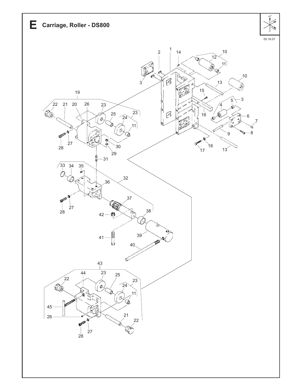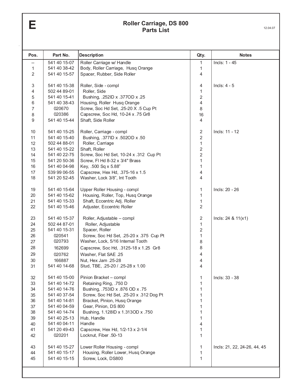`

# **Parts List** 12.04.07

| Pos.             | Part No.                     | <b>Description</b>                                        | Qty.                    | <b>Notes</b>                 |
|------------------|------------------------------|-----------------------------------------------------------|-------------------------|------------------------------|
|                  | 541 40 15-07                 | Roller Carriage w/ Handle                                 | 1                       | Incls: 1 - 45                |
| 1                | 541 40 38-42                 | Body, Roller Carriage, Husq Orange                        | 1                       |                              |
| 2                | 541 40 15-57                 | Spacer, Rubber, Side Roller                               | 4                       |                              |
| 3                | 541 40 15-38                 | Roller, Side - compl                                      | 4                       | Incls: $4 - 5$               |
| 4                | 502 44 89-01                 | Roller, Side                                              | $\mathbf{1}$            |                              |
| 5                | 541 40 15-41                 | Bushing, .252ID x .377OD x .25                            | $\overline{c}$          |                              |
| $\,6\,$          | 541 40 38-43                 | Housing, Roller Husq Orange                               | $\overline{4}$          |                              |
| $\overline{7}$   | 020670                       | Screw, Soc Hd Set, .25-20 X .5 Cup Pt                     | 8                       |                              |
| 8                | 020386                       | Capscrew, Soc Hd, 10-24 x .75 Gr8                         | 16                      |                              |
| $\boldsymbol{9}$ | 541 40 15-44                 | Shaft, Side Roller                                        | $\overline{4}$          |                              |
| 10               | 541 40 15-25                 | Roller, Carriage - compl                                  | 2                       | Incls: 11 - 12               |
| 11               | 541 40 15-40                 | Bushing, .377ID x .502OD x .50                            | $\overline{\mathbf{c}}$ |                              |
| 12               | 502 44 88-01                 | Roller, Carriage                                          | $\mathbf{1}$            |                              |
| 13               | 541 40 15-22                 | Shaft, Roller                                             | 2                       |                              |
| 14               | 541 40 22-75                 | Screw, Soc Hd Set, 10-24 x .312 Cup Pt                    | $\overline{\mathbf{c}}$ |                              |
| 15               | 541 20 50-36                 | Screw, FI Hd 8-32 x 3/4" Brass                            | 1                       |                              |
| 16               | 541 40 04-98                 | Key, .500 Sq x 5.88"                                      | 1                       |                              |
| 17               | 539 99 06-55                 | Capscrew, Hex Hd, .375-16 x 1.5                           | 4                       |                              |
| 18               | 541 20 52-45                 | Washer, Lock 3/8", Int Tooth                              | 4                       |                              |
| 19               | 541 40 15-64                 | Upper Roller Housing - compl                              | 1                       | Incls: 20 - 26               |
| 20               | 541 40 15-62                 | Housing, Roller, Top, Husq Orange                         | 1                       |                              |
| 21               | 541 40 15-33                 | Shaft, Eccentric Adj. Roller                              | 1                       |                              |
| 22               | 541 40 15-46                 | Adjuster, Eccentric Roller                                | 2                       |                              |
| 23               | 541 40 15-37                 | Roller, Adjustable - compl                                | $\boldsymbol{2}$        | Incls: $24 & 11(x1)$         |
| 24               | 502 44 87-01                 | Roller, Adjustable                                        | $\mathbf{1}$            |                              |
| 25               | 541 40 15-31                 | Spacer, Roller                                            | 2                       |                              |
| 26               | 020541                       | Screw, Soc Hd Set, .25-20 x .375 Cup Pt                   | $\mathbf{1}$            |                              |
| 27               | 020793                       | Washer, Lock, 5/16 Internal Tooth                         | 8                       |                              |
| 28               | 162699                       | Capscrew, Soc Hd, .3125-18 x 1.25 Gr8                     | 8                       |                              |
| 29               | 020762                       | Washer, Flat SAE .25                                      | 4                       |                              |
| 30               | 166887                       | Nut, Hex Jam .25-28                                       | 4                       |                              |
| 31               | 541 40 14-68                 | Stud, TBE, .25-20 / .25-28 x 1.00                         | 4                       |                              |
| 32               | 541 40 15-00                 | Pinion Bracket - compl                                    | 1                       | Incls: 33 - 38               |
| 33               | 541 40 14-72                 | Retaining Ring, .750 D                                    | 1                       |                              |
| 34               | 541 40 14-76                 | Bushing, .753ID x .876 OD x .75                           | 1                       |                              |
| 35               | 541 40 37-54                 | Screw, Soc Hd Set, .25-20 x .312 Dog Pt                   | 1                       |                              |
| 36               | 541 40 14-81                 | Bracket, Pinion, Husq Orange                              | 1                       |                              |
| 37               | 541 40 04-59                 | Gear, Pinion, DS 800                                      | 1                       |                              |
| 38               | 541 40 14-74                 | Bushing, 1.128ID x 1.313OD x .750                         | 1                       |                              |
| 39               | 541 40 25-13                 | Hub, Handle<br>Handle                                     | 1                       |                              |
| 40<br>41         | 541 40 04-11<br>541 20 49-43 |                                                           | 4                       |                              |
| 42               | 020201                       | Capscrew, Hex Hd, 1/2-13 x 2-1/4<br>Locknut, Fiber .50-13 | 1<br>1                  |                              |
|                  |                              |                                                           |                         |                              |
| 43               | 541 40 15-27                 | Lower Roller Housing - compl                              | 1                       | Incls: 21, 22, 24-26, 44, 45 |
| 44               | 541 40 15-17                 | Housing, Roller Lower, Husq Orange                        | 1                       |                              |
| 45               | 541 40 15-15                 | Screw, Lock, DS800                                        | 1                       |                              |
|                  |                              |                                                           |                         |                              |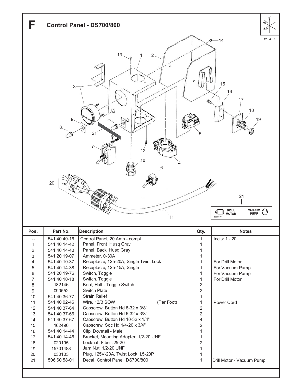

| Pos. | Part No.     | <b>Description</b>                     | Qty.           | <b>Notes</b>              |
|------|--------------|----------------------------------------|----------------|---------------------------|
|      | 541 40 40-16 | Control Panel, 20 Amp - compl          |                | $Incls: 1 - 20$           |
|      | 541 40 14-42 | Panel, Front Husq Gray                 |                |                           |
| 2    | 541 40 14-40 | Panel, Back Husq Gray                  |                |                           |
| 3    | 541 20 19-07 | Ammeter, 0-30A                         |                |                           |
| 4    | 541 40 10-37 | Receptacle, 125-20A, Single Twist Lock |                | For Drill Motor           |
| 5    | 541 40 14-38 | Receptacle, 125-15A, Single            |                | For Vacuum Pump           |
| 6    | 541 20 19-76 | Switch, Toggle                         |                | For Vacuum Pump           |
| 7    | 541 40 10-18 | Switch, Toggle                         |                | For Drill Motor           |
| 8    | 182146       | Boot, Half - Toggle Switch             | 2              |                           |
| 9    | 090552       | <b>Switch Plate</b>                    | 2              |                           |
| 10   | 541 40 36-77 | <b>Strain Relief</b>                   |                |                           |
| 11   | 541 40 02-46 | (Per Foot)<br>Wire, 12/3 SOW           |                | Power Cord                |
| 12   | 541 40 37-64 | Capscrew, Button Hd 8-32 x 3/8"        | $\overline{2}$ |                           |
| 13   | 541 40 37-66 | Capscrew, Button Hd 6-32 x 3/8"        | 2              |                           |
| 14   | 541 40 37-67 | Capscrew, Button Hd 10-32 x 1/4"       | 4              |                           |
| 15   | 162496       | Capscrew, Soc Hd 1/4-20 x 3/4"         | 2              |                           |
| 16   | 541 40 14-44 | Clip, Dovetail - Male                  |                |                           |
| 17   | 541 40 14-46 | Bracket, Mounting Adapter, 1/2-20 UNF  |                |                           |
| 18   | 020195       | Locknut, Fiber .25-20                  | 2              |                           |
| 19   | 15701488     | Jam Nut, 1/2-20 UNF                    |                |                           |
| 20   | 030103       | Plug, 125V-20A, Twist Lock L5-20P      |                |                           |
| 21   | 506 60 58-01 | Decal, Control Panel, DS700/800        |                | Drill Motor - Vacuum Pump |
|      |              |                                        |                |                           |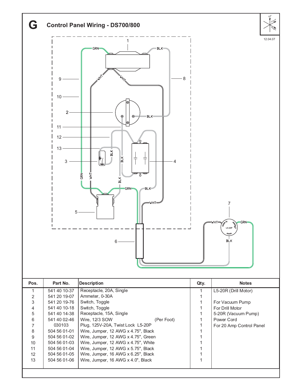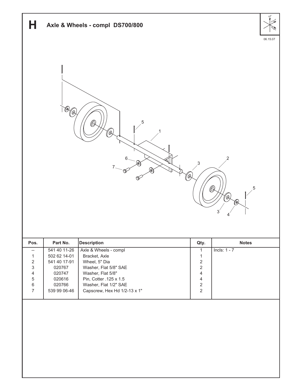| Н                                        |                              | Axle & Wheels - compl DS700/800                       |                                           |                                                        | F101     |
|------------------------------------------|------------------------------|-------------------------------------------------------|-------------------------------------------|--------------------------------------------------------|----------|
|                                          | 70)<br>″®,                   | 5<br>$\circledR$<br>"Q)<br>6<br>(@)<br>7<br>Þ         | 3                                         | 2                                                      | 06.15.07 |
|                                          |                              | ″Q,                                                   |                                           | 5<br>$\circledR$<br>(Q)<br>(@)<br>$3^{^{\prime}}$<br>4 |          |
| Pos.                                     | Part No.                     | <b>Description</b>                                    | Qty.                                      | <b>Notes</b>                                           |          |
| $\overline{\phantom{a}}$<br>$\mathbf{1}$ | 541 40 11-26<br>502 62 14-01 | Axle & Wheels - compl                                 | $\mathbf{1}$<br>$\mathbf{1}$              | Incls: $1 - 7$                                         |          |
| $\sqrt{2}$                               | 541 40 17-91                 | Bracket, Axle<br>Wheel, 5" Dia                        | $\sqrt{2}$                                |                                                        |          |
| $\sqrt{3}$                               | 020767                       | Washer, Flat 5/8" SAE                                 | $\overline{c}$                            |                                                        |          |
| $\overline{4}$<br>$\,$ 5 $\,$            | 020747<br>020616             | Washer, Flat 5/8"<br>Pin, Cotter .125 x 1.5           | $\overline{4}$<br>$\overline{4}$          |                                                        |          |
| $\,6\,$<br>$\overline{7}$                | 020766<br>539 99 06-46       | Washer, Flat 1/2" SAE<br>Capscrew, Hex Hd 1/2-13 x 1" | $\overline{\mathbf{c}}$<br>$\overline{c}$ |                                                        |          |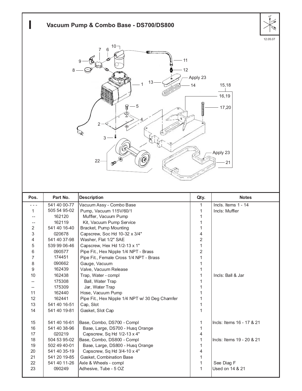|                                                                                                                               |                  | Vacuum Pump & Combo Base - DS700/DS800          |                |                           | $F^{\circ}$ |
|-------------------------------------------------------------------------------------------------------------------------------|------------------|-------------------------------------------------|----------------|---------------------------|-------------|
| 12.05.07<br>10<br>6<br>11<br>12<br>8<br>Apply 23<br>13<br>15,18<br>14<br>16,19<br>5<br>17,20<br>3<br>Apply 23<br>$22 -$<br>21 |                  |                                                 |                |                           |             |
| Pos.                                                                                                                          | Part No.         | <b>Description</b>                              | Qty.           | <b>Notes</b>              |             |
|                                                                                                                               | 541 40 00-77     | Vacuum Assy - Combo Base                        | 1              | Incls. Items 1 - 14       |             |
|                                                                                                                               | 505 54 95-02     | Pump, Vacuum 115V/60/1                          | 1              | Incls: Muffler            |             |
|                                                                                                                               | 162120           | Muffler, Vacuum Pump                            | 1              |                           |             |
|                                                                                                                               | 162119           | Kit, Vacuum Pump Service                        | 1              |                           |             |
| 2                                                                                                                             | 541 40 16-40     | Bracket, Pump Mounting                          | 1              |                           |             |
| 3                                                                                                                             | 020678           | Capscrew, Soc Hd 10-32 x 3/4"                   | 4              |                           |             |
| 4                                                                                                                             | 541 40 37-98     | Washer, Flat 1/2" SAE                           | $\overline{2}$ |                           |             |
| 5                                                                                                                             | 539 99 06-46     | Capscrew, Hex Hd 1/2-13 x 1"                    | $\mathbf{1}$   |                           |             |
| 6                                                                                                                             | 090577<br>174451 | Pipe Fit., Hex Nipple 1/4 NPT - Brass           | $\overline{c}$ |                           |             |
| $\overline{7}$                                                                                                                |                  | Pipe Fit., Female Cross 1/4 NPT - Brass         | $\mathbf{1}$   |                           |             |
| 8<br>$\boldsymbol{9}$                                                                                                         | 090662<br>162439 | Gauge, Vacuum<br>Valve, Vacuum Release          | 1<br>1         |                           |             |
| 10                                                                                                                            | 162438           | Trap, Water - compl                             | 1              | Incls: Ball & Jar         |             |
| --                                                                                                                            | 175308           | Ball, Water Trap                                | 1              |                           |             |
| --                                                                                                                            | 175309           | Jar, Water Trap                                 | 1              |                           |             |
| 11                                                                                                                            | 162440           | Hose, Vacuum Pump                               | 1              |                           |             |
| 12                                                                                                                            | 162441           | Pipe Fit., Hex Nipple 1/4 NPT w/ 30 Deg Chamfer | 1              |                           |             |
| 13                                                                                                                            | 541 40 16-51     | Cap, Slot                                       | 1              |                           |             |
| 14                                                                                                                            | 541 40 19-81     | Gasket, Slot Cap                                | $\mathbf{1}$   |                           |             |
| 15                                                                                                                            | 541 40 16-61     | Base, Combo, DS700 - Compl                      | 1              | Incls: Items 16 - 17 & 21 |             |
| 16                                                                                                                            | 541 40 38-96     | Base, Large, DS700 - Husq Orange                | $\mathbf{1}$   |                           |             |
| 17                                                                                                                            | 020219           | Capscrew, Sq Hd 1/2-13 x 4"                     | 4              |                           |             |
| 18                                                                                                                            | 504 53 95-02     | Base, Combo, DS800 - Compl                      | $\mathbf{1}$   | Incls: Items 19 - 20 & 21 |             |
| 19                                                                                                                            | 502 49 40-01     | Base, Large, DS800 - Husq Orange                | $\mathbf{1}$   |                           |             |
| 20                                                                                                                            | 541 40 35-19     | Capscrew, Sq Hd 3/4-10 x 4"                     | 4              |                           |             |
| 21                                                                                                                            | 541 20 19-85     | Gasket, Combination Base                        | 1              |                           |             |
| 22                                                                                                                            | 541 40 11-26     | Axle & Wheels - compl                           | $\mathbf{1}$   | See Diag F                |             |
| 23                                                                                                                            | 090249           | Adhesive, Tube - 5 OZ                           | $\mathbf{1}$   | Used on 14 & 21           |             |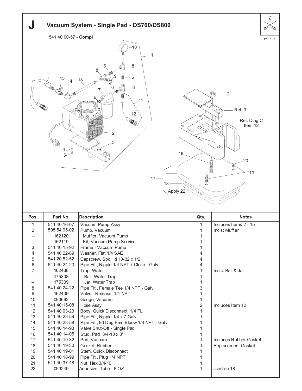| Vacuum System - Single Pad - DS700/DS800                                                                                                                                                                                                     |                              |                                                                |                              |                        |  |
|----------------------------------------------------------------------------------------------------------------------------------------------------------------------------------------------------------------------------------------------|------------------------------|----------------------------------------------------------------|------------------------------|------------------------|--|
|                                                                                                                                                                                                                                              | 541 40 00-57 - Compl         |                                                                |                              |                        |  |
| 12.07.07<br>10<br>8<br>11<br>6<br>15<br>13<br>14<br>8<br>21<br>.11<br>Ref. 3<br>12<br>Ref. Diag C<br><b>RE</b><br>Item 12<br><b>CD</b><br>2<br>3<br>1979<br>$\overrightarrow{c}$<br>$16 -$<br>20<br>0<br>G<br>19<br>$17 -$<br>18<br>Apply 22 |                              |                                                                |                              |                        |  |
| Pos.                                                                                                                                                                                                                                         | Part No.                     | <b>Description</b>                                             |                              | <b>Notes</b>           |  |
| 1                                                                                                                                                                                                                                            | 541 40 16-07                 | Vacuum Pump Assy                                               | Qty.<br>$\mathbf{1}$         | Includes Items 2 - 15  |  |
| $\overline{2}$                                                                                                                                                                                                                               | 505 54 95-02                 | Pump, Vacuum                                                   | $\mathbf{1}$                 | Incls: Muffler         |  |
| $-1$                                                                                                                                                                                                                                         | 162120                       | Muffler, Vacuum Pump                                           | 1                            |                        |  |
| $-1$                                                                                                                                                                                                                                         | 162119                       | Kit, Vacuum Pump Service                                       | 1                            |                        |  |
| 3                                                                                                                                                                                                                                            | 541 40 15-92                 | Frame - Vacuum Pump                                            | 1                            |                        |  |
| 4<br>5                                                                                                                                                                                                                                       | 541 40 22-89<br>541 20 52-52 | Washer, Flat 1/4 SAE<br>Capscrew, Soc Hd 10-32 x 1/2           | 4<br>4                       |                        |  |
| 6                                                                                                                                                                                                                                            | 541 40 24-23                 | Pipe Fit., Nipple 1/4 NPT x Close - Galv                       | 4                            |                        |  |
| 7                                                                                                                                                                                                                                            | 162438                       | Trap, Water                                                    | 1                            | Incls: Ball & Jar      |  |
|                                                                                                                                                                                                                                              | 175308                       | Ball, Water Trap                                               | $\mathbf{1}$                 |                        |  |
| $\hspace{0.05cm} -\hspace{0.05cm}$                                                                                                                                                                                                           | 175309                       | Jar, Water Trap                                                | $\mathbf{1}$                 |                        |  |
| $\,8\,$<br>$\boldsymbol{9}$                                                                                                                                                                                                                  | 541 40 24-22<br>162439       | Pipe Fit., Female Tee 1/4 NPT - Galv<br>Valve, Release 1/4 NPT | 3<br>$\mathbf{1}$            |                        |  |
| 10                                                                                                                                                                                                                                           | 090662                       | Gauge, Vacuum                                                  | $\mathbf{1}$                 |                        |  |
| 11                                                                                                                                                                                                                                           | 541 40 15-08                 | Hose Assy                                                      | $\overline{2}$               | Includes Item 12       |  |
| 12                                                                                                                                                                                                                                           | 541 40 03-23                 | Body, Quick Disconnect, 1/4 PL                                 | $\mathbf{1}$                 |                        |  |
| 13                                                                                                                                                                                                                                           | 541 40 23-59                 | Pipe Fit., Nipple 1/4 x 7 Galv                                 | $\mathbf{1}$                 |                        |  |
| 14                                                                                                                                                                                                                                           | 541 40 23-58                 | Pipe Fit., 90 Deg Fem Elbow 1/4 NPT - Galv                     | $\mathbf{1}$                 |                        |  |
| 15                                                                                                                                                                                                                                           | 541 40 14-93<br>541 40 14-05 | Valve Shut-Off - Single Pad                                    | $\mathbf{1}$                 |                        |  |
| 16<br>17                                                                                                                                                                                                                                     | 541 40 19-32                 | Stud, Pad 3/4-10 x 8"<br>Pad, Vacuum                           | $\mathbf{1}$<br>$\mathbf{1}$ | Includes Rubber Gasket |  |
| 18                                                                                                                                                                                                                                           | 541 40 19-30                 | Gasket, Rubber                                                 | $\mathbf{1}$                 | Replacement Gasket     |  |
| 19                                                                                                                                                                                                                                           | 541 40 19-01                 | Stem, Quick Disconnect                                         | 1                            |                        |  |
| 20                                                                                                                                                                                                                                           | 541 40 18-99                 | Pipe Fit., Plug 1/4 NPT                                        | $\mathbf{1}$                 |                        |  |
| 21                                                                                                                                                                                                                                           | 541 40 37-48                 | Nut, Hex 3/4-10                                                | 1                            |                        |  |
| 22                                                                                                                                                                                                                                           | 090249                       | Adhesive, Tube - 5 OZ                                          | $\mathbf{1}$                 | Used on 18             |  |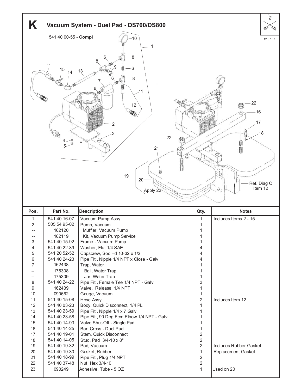

| Pos.           | Part No.     | <b>Description</b>                         | Qty.           | <b>Notes</b>              |
|----------------|--------------|--------------------------------------------|----------------|---------------------------|
| 1              | 541 40 16-07 | Vacuum Pump Assy                           | 1.             | Includes Items 2 - 15     |
| $\overline{2}$ | 505 54 95-02 | Pump, Vacuum                               |                |                           |
|                | 162120       | Muffler, Vacuum Pump                       |                |                           |
|                | 162119       | Kit, Vacuum Pump Service                   |                |                           |
| 3              | 541 40 15-92 | Frame - Vacuum Pump                        | 1              |                           |
| 4              | 541 40 22-89 | Washer, Flat 1/4 SAE                       | $\overline{4}$ |                           |
| 5              | 541 20 52-52 | Capscrew, Soc Hd 10-32 x 1/2               | 4              |                           |
| 6              | 541 40 24-23 | Pipe Fit., Nipple 1/4 NPT x Close - Galv   | 4              |                           |
| 7              | 162438       | Trap, Water                                |                |                           |
|                | 175308       | Ball, Water Trap                           | 1              |                           |
|                | 175309       | Jar, Water Trap                            | 1              |                           |
| 8              | 541 40 24-22 | Pipe Fit., Female Tee 1/4 NPT - Galv       | 3              |                           |
| 9              | 162439       | Valve, Release 1/4 NPT                     | 1              |                           |
| 10             | 090662       | Gauge, Vacuum                              | 1              |                           |
| 11             | 541 40 15-08 | Hose Assy                                  | $\overline{2}$ | Includes Item 12          |
| 12             | 541 40 03-23 | Body, Quick Disconnect, 1/4 PL             | 1              |                           |
| 13             | 541 40 23-59 | Pipe Fit., Nipple 1/4 x 7 Galv             | 1              |                           |
| 14             | 541 40 23-58 | Pipe Fit., 90 Deg Fem Elbow 1/4 NPT - Galv |                |                           |
| 15             | 541 40 14-93 | Valve Shut-Off - Single Pad                |                |                           |
| 16             | 541 40 14-25 | Bar, Cross - Duel Pad                      | 1              |                           |
| 17             | 541 40 19-01 | Stem, Quick Disconnect                     | $\overline{2}$ |                           |
| 18             | 541 40 14-05 | Stud, Pad 3/4-10 x 8"                      | $\overline{c}$ |                           |
| 19             | 541 40 19-32 | Pad, Vacuum                                | $\overline{2}$ | Includes Rubber Gasket    |
| 20             | 541 40 19-30 | Gasket, Rubber                             | 1              | <b>Replacement Gasket</b> |
| 21             | 541 40 18-99 | Pipe Fit., Plug 1/4 NPT                    | $\sqrt{2}$     |                           |
| 22             | 541 40 37-48 | Nut, Hex 3/4-10                            | $\overline{2}$ |                           |
| 23             | 090249       | Adhesive, Tube - 5 OZ                      | 1              | Used on 20                |
|                |              |                                            |                |                           |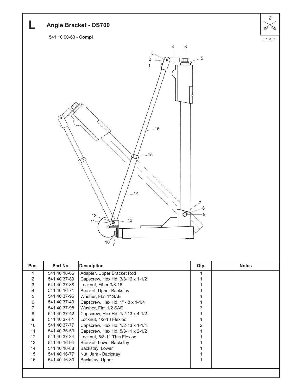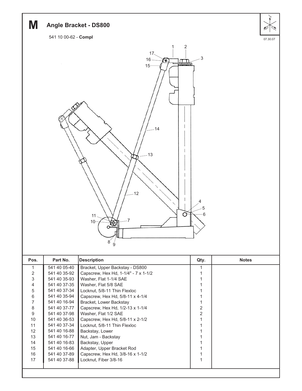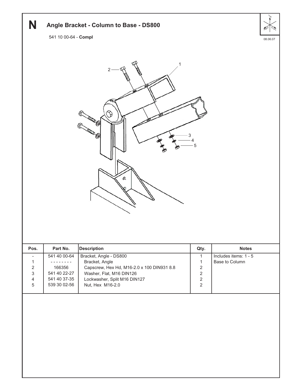